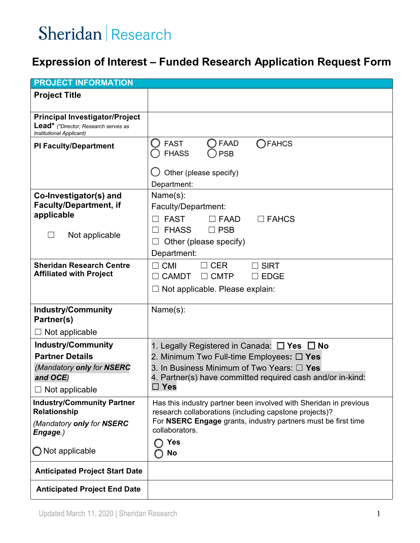#### **Expression of Interest – Funded Research Application Request Form**

| <b>PROJECT INFORMATION</b>                                                    |                                                                                                                         |
|-------------------------------------------------------------------------------|-------------------------------------------------------------------------------------------------------------------------|
| <b>Project Title</b>                                                          |                                                                                                                         |
|                                                                               |                                                                                                                         |
| <b>Principal Investigator/Project</b><br>Lead* (*Director, Research serves as |                                                                                                                         |
| Institutional Applicant)                                                      |                                                                                                                         |
| <b>PI Faculty/Department</b>                                                  | <b>FAAD</b><br><b>FAHCS</b><br><b>FAST</b>                                                                              |
|                                                                               | <b>FHASS</b><br><b>PSB</b>                                                                                              |
|                                                                               | Other (please specify)                                                                                                  |
|                                                                               | Department:                                                                                                             |
| Co-Investigator(s) and                                                        | Name(s):                                                                                                                |
| <b>Faculty/Department, if</b>                                                 | Faculty/Department:                                                                                                     |
| applicable                                                                    | <b>FAST</b><br>$\Box$ FAAD<br>$\Box$ FAHCS                                                                              |
| Not applicable                                                                | <b>FHASS</b><br>$\Box$ PSB                                                                                              |
|                                                                               | Other (please specify)                                                                                                  |
|                                                                               | Department:                                                                                                             |
| <b>Sheridan Research Centre</b><br><b>Affiliated with Project</b>             | <b>CMI</b><br><b>CER</b><br><b>SIRT</b><br>П                                                                            |
|                                                                               | <b>CAMDT</b><br>$\Box$ CMTP<br>$\square$ EDGE                                                                           |
|                                                                               | Not applicable. Please explain:                                                                                         |
| <b>Industry/Community</b><br>Partner(s)                                       | Name(s):                                                                                                                |
|                                                                               |                                                                                                                         |
| $\Box$ Not applicable                                                         |                                                                                                                         |
| <b>Industry/Community</b><br><b>Partner Details</b>                           | 1. Legally Registered in Canada: $\Box$ Yes $\Box$ No<br>2. Minimum Two Full-time Employees: $\Box$ Yes                 |
| (Mandatory only for NSERC                                                     | 3. In Business Minimum of Two Years: $\Box$ Yes                                                                         |
| and OCE)                                                                      | 4. Partner(s) have committed required cash and/or in-kind:                                                              |
| $\Box$ Not applicable                                                         | $\Box$ Yes                                                                                                              |
| <b>Industry/Community Partner</b>                                             | Has this industry partner been involved with Sheridan in previous                                                       |
| <b>Relationship</b>                                                           | research collaborations (including capstone projects)?<br>For NSERC Engage grants, industry partners must be first time |
| (Mandatory only for NSERC<br>Engage.)                                         | collaborators.                                                                                                          |
| $\bigcirc$ Not applicable                                                     | Yes<br>No                                                                                                               |
| <b>Anticipated Project Start Date</b>                                         |                                                                                                                         |
| <b>Anticipated Project End Date</b>                                           |                                                                                                                         |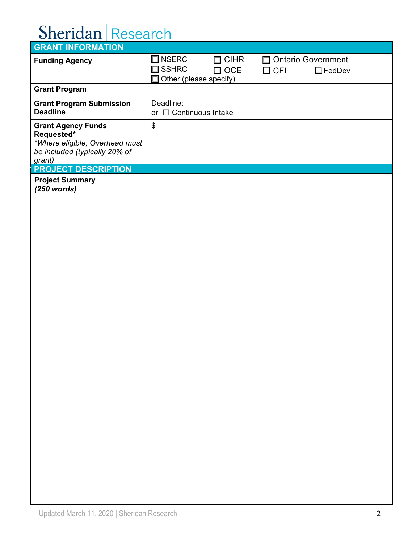| <b>GRANT INFORMATION</b>                                                                                             |                                                                                                                                                             |
|----------------------------------------------------------------------------------------------------------------------|-------------------------------------------------------------------------------------------------------------------------------------------------------------|
| <b>Funding Agency</b>                                                                                                | $\square$ NSERC<br>□ Ontario Government<br>$\square$ CIHR<br>$\square$ SSHRC<br>$\square$ OCE<br>$\Box$ FedDev<br>$\Box$ CFI<br>Other (please specify)<br>П |
| <b>Grant Program</b>                                                                                                 |                                                                                                                                                             |
| <b>Grant Program Submission</b><br><b>Deadline</b>                                                                   | Deadline:<br>or □ Continuous Intake                                                                                                                         |
| <b>Grant Agency Funds</b><br>Requested*<br>*Where eligible, Overhead must<br>be included (typically 20% of<br>grant) | $\boldsymbol{\mathsf{S}}$                                                                                                                                   |
| <b>PROJECT DESCRIPTION</b>                                                                                           |                                                                                                                                                             |
| <b>Project Summary</b><br>$(250$ words)                                                                              |                                                                                                                                                             |
|                                                                                                                      |                                                                                                                                                             |
|                                                                                                                      |                                                                                                                                                             |
|                                                                                                                      |                                                                                                                                                             |
|                                                                                                                      |                                                                                                                                                             |
|                                                                                                                      |                                                                                                                                                             |
|                                                                                                                      |                                                                                                                                                             |
|                                                                                                                      |                                                                                                                                                             |
|                                                                                                                      |                                                                                                                                                             |
|                                                                                                                      |                                                                                                                                                             |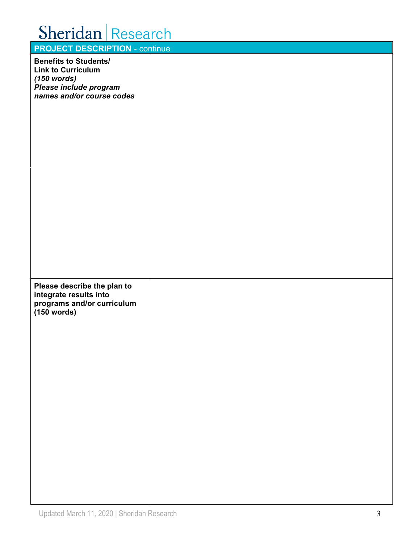| <b>Printing Library 11</b>                                                                                                        |  |
|-----------------------------------------------------------------------------------------------------------------------------------|--|
| <b>PROJECT DESCRIPTION - continue</b>                                                                                             |  |
| <b>Benefits to Students/</b><br><b>Link to Curriculum</b><br>$(150$ words)<br>Please include program<br>names and/or course codes |  |
|                                                                                                                                   |  |
| Please describe the plan to<br>integrate results into<br>programs and/or curriculum<br>$(150$ words)                              |  |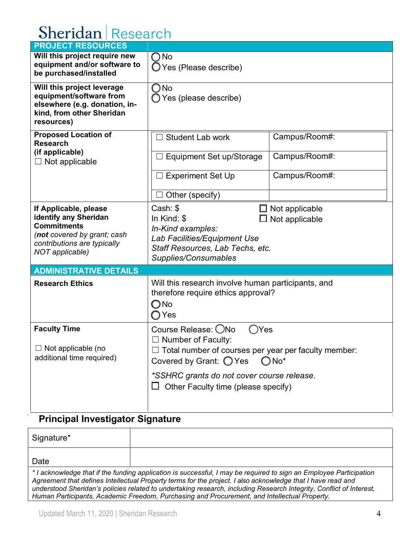| <b>PROJECT RESOURCES</b>                                                                                                                              |                                                                                                                                                                                                                                                            |                                                 |
|-------------------------------------------------------------------------------------------------------------------------------------------------------|------------------------------------------------------------------------------------------------------------------------------------------------------------------------------------------------------------------------------------------------------------|-------------------------------------------------|
| Will this project require new<br>equipment and/or software to<br>be purchased/installed                                                               | $\bigcirc$ No<br>O Yes (Please describe)                                                                                                                                                                                                                   |                                                 |
| Will this project leverage<br>equipment/software from<br>elsewhere (e.g. donation, in-<br>kind, from other Sheridan<br>resources)                     | $\bigcirc$ No<br>◯ Yes (please describe)                                                                                                                                                                                                                   |                                                 |
| <b>Proposed Location of</b><br><b>Research</b><br>(if applicable)<br>$\Box$ Not applicable                                                            | Student Lab work<br>Equipment Set up/Storage<br><b>Experiment Set Up</b><br>Other (specify)                                                                                                                                                                | Campus/Room#:<br>Campus/Room#:<br>Campus/Room#: |
| If Applicable, please<br>identify any Sheridan<br><b>Commitments</b><br>(not covered by grant; cash<br>contributions are typically<br>NOT applicable) | Cash: \$<br>$\Box$ Not applicable<br>In Kind: $$$<br>$\Box$ Not applicable<br>In-Kind examples:<br>Lab Facilities/Equipment Use<br>Staff Resources, Lab Techs, etc.<br>Supplies/Consumables                                                                |                                                 |
| <b>ADMINISTRATIVE DETAILS</b>                                                                                                                         |                                                                                                                                                                                                                                                            |                                                 |
| <b>Research Ethics</b>                                                                                                                                | Will this research involve human participants, and<br>therefore require ethics approval?<br>$\bigcirc$ No<br>∩Yes                                                                                                                                          |                                                 |
| <b>Faculty Time</b><br>$\Box$ Not applicable (no<br>additional time required)                                                                         | Course Release: ONo<br>Yes<br>$\Box$ Number of Faculty:<br>$\Box$ Total number of courses per year per faculty member:<br>Covered by Grant: $\bigcirc$ Yes<br>$ONO^*$<br>*SSHRC grants do not cover course release.<br>Other Faculty time (please specify) |                                                 |

### **Principal Investigator Signature**

| Signature* |                                                                                                                                                                                                                                                                                                                                                                                                                                                          |
|------------|----------------------------------------------------------------------------------------------------------------------------------------------------------------------------------------------------------------------------------------------------------------------------------------------------------------------------------------------------------------------------------------------------------------------------------------------------------|
| Date       |                                                                                                                                                                                                                                                                                                                                                                                                                                                          |
|            | * I acknowledge that if the funding application is successful, I may be required to sign an Employee Participation<br>Agreement that defines Intellectual Property terms for the project. I also acknowledge that I have read and<br>understood Sheridan's policies related to undertaking research, including Research Integrity, Conflict of Interest,<br>Human Participants, Academic Freedom, Purchasing and Procurement, and Intellectual Property. |